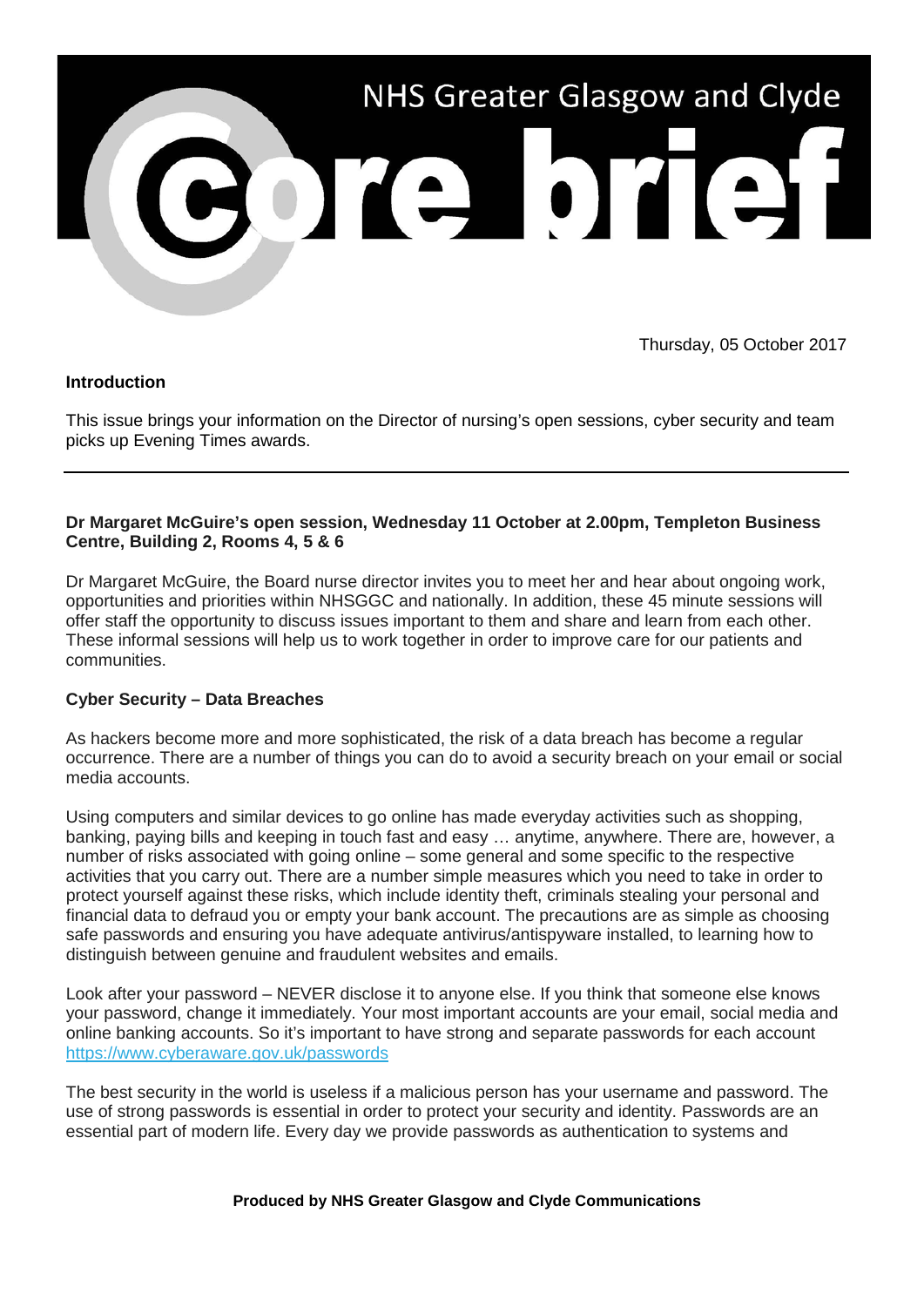

Thursday, 05 October 2017

# **Introduction**

This issue brings your information on the Director of nursing's open sessions, cyber security and team picks up Evening Times awards.

### **Dr Margaret McGuire's open session, Wednesday 11 October at 2.00pm, Templeton Business Centre, Building 2, Rooms 4, 5 & 6**

Dr Margaret McGuire, the Board nurse director invites you to meet her and hear about ongoing work, opportunities and priorities within NHSGGC and nationally. In addition, these 45 minute sessions will offer staff the opportunity to discuss issues important to them and share and learn from each other. These informal sessions will help us to work together in order to improve care for our patients and communities.

# **Cyber Security – Data Breaches**

As hackers become more and more sophisticated, the risk of a data breach has become a regular occurrence. There are a number of things you can do to avoid a security breach on your email or social media accounts.

Using computers and similar devices to go online has made everyday activities such as shopping, banking, paying bills and keeping in touch fast and easy … anytime, anywhere. There are, however, a number of risks associated with going online – some general and some specific to the respective activities that you carry out. There are a number simple measures which you need to take in order to protect yourself against these risks, which include identity theft, criminals stealing your personal and financial data to defraud you or empty your bank account. The precautions are as simple as choosing safe passwords and ensuring you have adequate antivirus/antispyware installed, to learning how to distinguish between genuine and fraudulent websites and emails.

Look after your password – NEVER disclose it to anyone else. If you think that someone else knows your password, change it immediately. Your most important accounts are your email, social media and online banking accounts. So it's important to have strong and separate passwords for each account [https://www.cyberaware.gov.uk/passwords](http://nhsggc.us12.list-manage1.com/track/click?u=0f385b5aea37eaf0213bd19fb&id=afb93074be&e=5af5e1832c)

The best security in the world is useless if a malicious person has your username and password. The use of strong passwords is essential in order to protect your security and identity. Passwords are an essential part of modern life. Every day we provide passwords as authentication to systems and

#### **Produced by NHS Greater Glasgow and Clyde Communications**